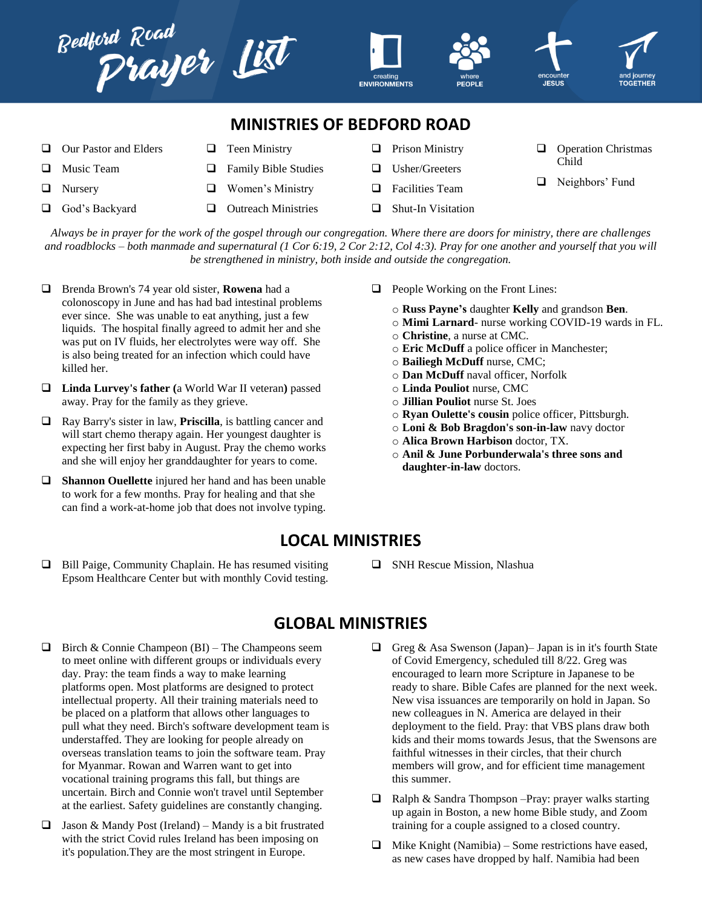

*Always be in prayer for the work of the gospel through our congregation. Where there are doors for ministry, there are challenges and roadblocks – both manmade and supernatural (1 Cor 6:19, 2 Cor 2:12, Col 4:3). Pray for one another and yourself that you will be strengthened in ministry, both inside and outside the congregation.*

- Brenda Brown's 74 year old sister, **Rowena** had a colonoscopy in June and has had bad intestinal problems ever since. She was unable to eat anything, just a few liquids. The hospital finally agreed to admit her and she was put on IV fluids, her electrolytes were way off. She is also being treated for an infection which could have killed her.
- **Linda Lurvey's father (**a World War II veteran**)** passed away. Pray for the family as they grieve.
- Ray Barry's sister in law, **Priscilla**, is battling cancer and will start chemo therapy again. Her youngest daughter is expecting her first baby in August. Pray the chemo works and she will enjoy her granddaughter for years to come.
- **Shannon Ouellette** injured her hand and has been unable to work for a few months. Pray for healing and that she can find a work-at-home job that does not involve typing.
- $\Box$  People Working on the Front Lines:
	- o **Russ Payne's** daughter **Kelly** and grandson **Ben**.
	- o **Mimi Larnard** nurse working COVID-19 wards in FL.
	- o **Christine**, a nurse at CMC.
	- o **Eric McDuff** a police officer in Manchester;
	- o **Bailiegh McDuff** nurse, CMC;
	- o **Dan McDuff** naval officer, Norfolk
	- o **Linda Pouliot** nurse, CMC
	- o **Jillian Pouliot** nurse St. Joes
	- o **Ryan Oulette's cousin** police officer, Pittsburgh.
	- o **Loni & Bob Bragdon's son-in-law** navy doctor
	- o **Alica Brown Harbison** doctor, TX.
	- o **Anil & June Porbunderwala's three sons and daughter-in-law** doctors.

## **LOCAL MINISTRIES**

- $\Box$  Bill Paige, Community Chaplain. He has resumed visiting Epsom Healthcare Center but with monthly Covid testing.
- **SNH Rescue Mission, Nlashua**

## **GLOBAL MINISTRIES**

- $\Box$  Birch & Connie Champeon (BI) The Champeons seem to meet online with different groups or individuals every day. Pray: the team finds a way to make learning platforms open. Most platforms are designed to protect intellectual property. All their training materials need to be placed on a platform that allows other languages to pull what they need. Birch's software development team is understaffed. They are looking for people already on overseas translation teams to join the software team. Pray for Myanmar. Rowan and Warren want to get into vocational training programs this fall, but things are uncertain. Birch and Connie won't travel until September at the earliest. Safety guidelines are constantly changing.
- $\Box$  Jason & Mandy Post (Ireland) Mandy is a bit frustrated with the strict Covid rules Ireland has been imposing on it's population.They are the most stringent in Europe.
- Greg & Asa Swenson (Japan)– Japan is in it's fourth State of Covid Emergency, scheduled till 8/22. Greg was encouraged to learn more Scripture in Japanese to be ready to share. Bible Cafes are planned for the next week. New visa issuances are temporarily on hold in Japan. So new colleagues in N. America are delayed in their deployment to the field. Pray: that VBS plans draw both kids and their moms towards Jesus, that the Swensons are faithful witnesses in their circles, that their church members will grow, and for efficient time management this summer.
- $\Box$  Ralph & Sandra Thompson –Pray: prayer walks starting up again in Boston, a new home Bible study, and Zoom training for a couple assigned to a closed country.
- $\Box$  Mike Knight (Namibia) Some restrictions have eased, as new cases have dropped by half. Namibia had been